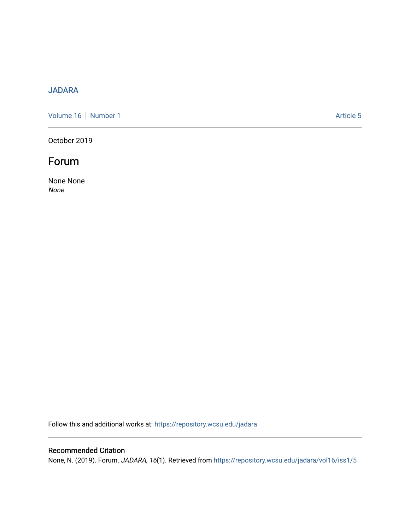## [JADARA](https://repository.wcsu.edu/jadara)

[Volume 16](https://repository.wcsu.edu/jadara/vol16) | [Number 1](https://repository.wcsu.edu/jadara/vol16/iss1) Article 5

October 2019

## Forum

None None None

Follow this and additional works at: [https://repository.wcsu.edu/jadara](https://repository.wcsu.edu/jadara?utm_source=repository.wcsu.edu%2Fjadara%2Fvol16%2Fiss1%2F5&utm_medium=PDF&utm_campaign=PDFCoverPages)

## Recommended Citation

None, N. (2019). Forum. JADARA, 16(1). Retrieved from [https://repository.wcsu.edu/jadara/vol16/iss1/5](https://repository.wcsu.edu/jadara/vol16/iss1/5?utm_source=repository.wcsu.edu%2Fjadara%2Fvol16%2Fiss1%2F5&utm_medium=PDF&utm_campaign=PDFCoverPages)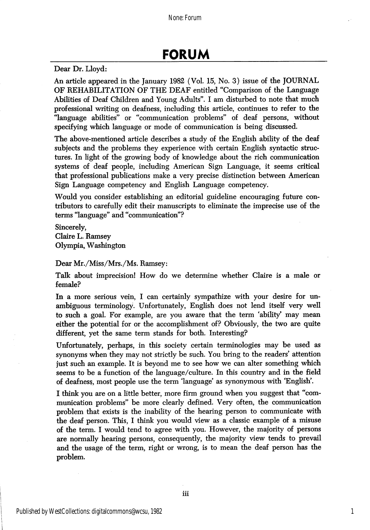Dear Dr. Lloyd:

An article appeared in the January 1982 (Vol. 15, No. 3) issue of the JOURNAL OF REHABILITATION OF THE DEAF entitled "Comparison of the Language Abilities of Deaf Children and Young Adults". I am disturbed to note that much professional writing on deafness, including this article, continues to refer to the "language abilities" or "communication problems" of deaf persons, without specifying which language or mode of communication is being discussed.

The above-mentioned article describes a study of the English ability of the deaf subjects and the problems they experience with certain English syntactic struc tures. In light of the growing body of knowledge about the rich communication systems of deaf people, including American Sign Language, it seems critical that professional publications make a very precise distinction between American Sign Language competency and English Language competency.

Would you consider establishing an editorial guideline encouraging future con tributors to carefully edit their manuscripts to eliminate the imprecise use of the terms "language" and "communication"?

Sincerely, Claire L. Ramsey Olympia, Washington

Dear Mr./Miss/Mrs./Ms. Ramsey:

Talk about imprecision! How do we determine whether Claire is a male or female?

In a more serious vein, I can certainly sympathize with your desire for un ambiguous terminology. Unfortunately, English does not lend itself very well to such a goal. For example, are you aware that the term 'ability' may mean either the potential for or the accomplishment of? Obviously, the two are quite different, yet the same term stands for both. Interesting?

Unfortunately, perhaps, in this society certain terminologies may be used as synonyms when they may not strictly be such. You bring to the readers' attention just such an example. It is beyond me to see how we can alter something which seems to be a function of the language/culture. In this country and in the field of deafness, most people use the term 'language' as synonymous with 'English'.

I think you are on a little better, more firm ground when you suggest that "com munication problems" be more clearly defined. Very often, the communication problem that exists is the inability of the hearing person to communicate with the deaf person. This, I think you would view as a classic example of a misuse of the term. I would tend to agree with you. However, the majority of persons are normally hearing persons, consequently, the majority view tends to prevail and the usage of the term, right or wrong, is to mean the deaf person has the problem.

1